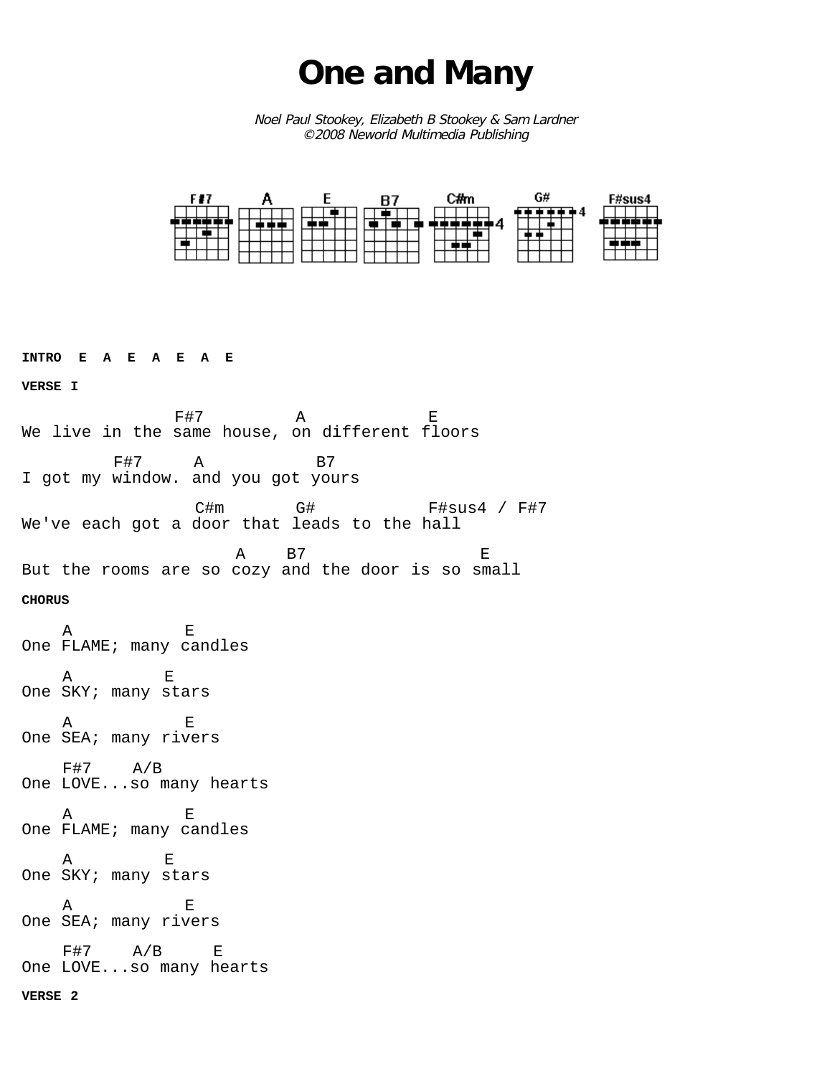## **One and Many**

Noel Paul Stookey, Elizabeth B Stookey & Sam Lardner ©2008 Neworld Multimedia Publishing



**INTRO E A E A E A E VERSE I** e and the set of the set of the set of the set of the set of the set of the set of the set of the set of the s<br>The set of the set of the set of the set of the set of the set of the set of the set of the set of the set of We live in the same house, on different floors F#7 A B7 I got my window. and you got yours C#m G# F#sus4 / F#7 We've each got a door that leads to the hall A B7 E But the rooms are so cozy and the door is so small **CHORUS** A E One FLAME; many candles A E One SKY; many stars A E One SEA; many rivers  $F#7$   $A/B$ One LOVE...so many hearts A E One FLAME; many candles A E One SKY; many stars A E One SEA; many rivers F#7 A/B E One LOVE...so many hearts **VERSE 2**